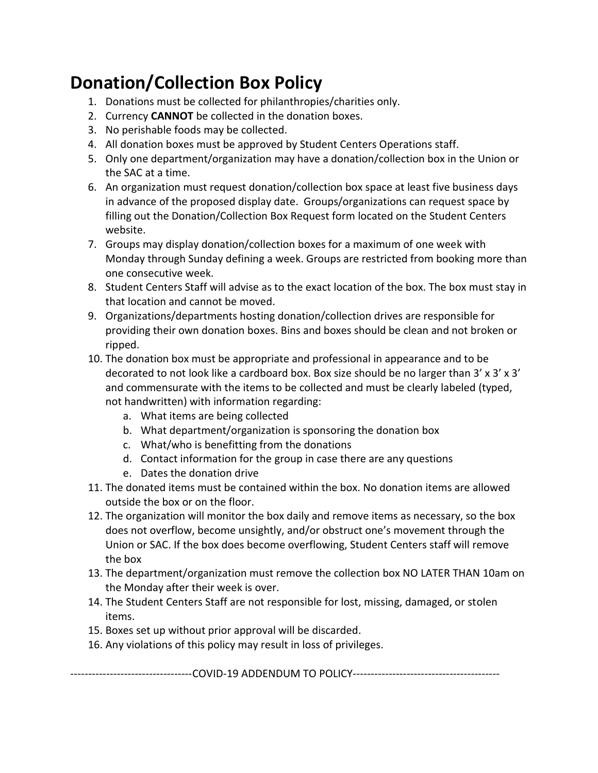## **Donation/Collection Box Policy**

- 1. Donations must be collected for philanthropies/charities only.
- 2. Currency **CANNOT** be collected in the donation boxes.
- 3. No perishable foods may be collected.
- 4. All donation boxes must be approved by Student Centers Operations staff.
- 5. Only one department/organization may have a donation/collection box in the Union or the SAC at a time.
- 6. An organization must request donation/collection box space at least five business days in advance of the proposed display date. Groups/organizations can request space by filling out the Donation/Collection Box Request form located on the Student Centers website.
- 7. Groups may display donation/collection boxes for a maximum of one week with Monday through Sunday defining a week. Groups are restricted from booking more than one consecutive week.
- 8. Student Centers Staff will advise as to the exact location of the box. The box must stay in that location and cannot be moved.
- 9. Organizations/departments hosting donation/collection drives are responsible for providing their own donation boxes. Bins and boxes should be clean and not broken or ripped.
- 10. The donation box must be appropriate and professional in appearance and to be decorated to not look like a cardboard box. Box size should be no larger than  $3' \times 3' \times 3'$ and commensurate with the items to be collected and must be clearly labeled (typed, not handwritten) with information regarding:
	- a. What items are being collected
	- b. What department/organization is sponsoring the donation box
	- c. What/who is benefitting from the donations
	- d. Contact information for the group in case there are any questions
	- e. Dates the donation drive
- 11. The donated items must be contained within the box. No donation items are allowed outside the box or on the floor.
- 12. The organization will monitor the box daily and remove items as necessary, so the box does not overflow, become unsightly, and/or obstruct one's movement through the Union or SAC. If the box does become overflowing, Student Centers staff will remove the box
- 13. The department/organization must remove the collection box NO LATER THAN 10am on the Monday after their week is over.
- 14. The Student Centers Staff are not responsible for lost, missing, damaged, or stolen items.
- 15. Boxes set up without prior approval will be discarded.
- 16. Any violations of this policy may result in loss of privileges.

----------------------------------COVID-19 ADDENDUM TO POLICY-----------------------------------------